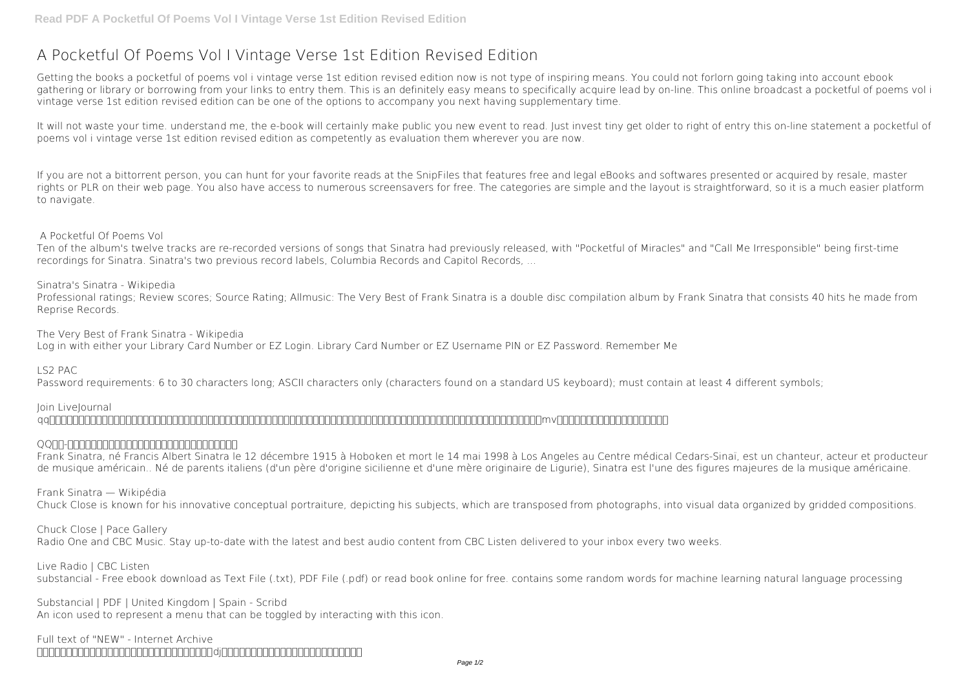# **A Pocketful Of Poems Vol I Vintage Verse 1st Edition Revised Edition**

Getting the books **a pocketful of poems vol i vintage verse 1st edition revised edition** now is not type of inspiring means. You could not forlorn going taking into account ebook gathering or library or borrowing from your links to entry them. This is an definitely easy means to specifically acquire lead by on-line. This online broadcast a pocketful of poems vol i vintage verse 1st edition revised edition can be one of the options to accompany you next having supplementary time.

It will not waste your time. understand me, the e-book will certainly make public you new event to read. Just invest tiny get older to right of entry this on-line statement **a pocketful of poems vol i vintage verse 1st edition revised edition** as competently as evaluation them wherever you are now.

**Join LiveJournal**  $q$ q $\alpha$ 

#### QQFIN-FINNDANDANDANDANING TERRITORING TERRITORING TERRITORING TERRITORING TERRITORING TERRITORING TERRITORING T

If you are not a bittorrent person, you can hunt for your favorite reads at the SnipFiles that features free and legal eBooks and softwares presented or acquired by resale, master rights or PLR on their web page. You also have access to numerous screensavers for free. The categories are simple and the layout is straightforward, so it is a much easier platform to navigate.

#### **A Pocketful Of Poems Vol**

Ten of the album's twelve tracks are re-recorded versions of songs that Sinatra had previously released, with "Pocketful of Miracles" and "Call Me Irresponsible" being first-time recordings for Sinatra. Sinatra's two previous record labels, Columbia Records and Capitol Records, ...

#### **Sinatra's Sinatra - Wikipedia**

Professional ratings; Review scores; Source Rating; Allmusic: The Very Best of Frank Sinatra is a double disc compilation album by Frank Sinatra that consists 40 hits he made from Reprise Records.

**The Very Best of Frank Sinatra - Wikipedia**

Log in with either your Library Card Number or EZ Login. Library Card Number or EZ Username PIN or EZ Password. Remember Me

**LS2 PAC**

Password requirements: 6 to 30 characters long; ASCII characters only (characters found on a standard US keyboard); must contain at least 4 different symbols;

Frank Sinatra, né Francis Albert Sinatra le 12 décembre 1915 à Hoboken et mort le 14 mai 1998 à Los Angeles au Centre médical Cedars-Sinaï, est un chanteur, acteur et producteur de musique américain.. Né de parents italiens (d'un père d'origine sicilienne et d'une mère originaire de Ligurie), Sinatra est l'une des figures majeures de la musique américaine.

#### **Frank Sinatra — Wikipédia**

Chuck Close is known for his innovative conceptual portraiture, depicting his subjects, which are transposed from photographs, into visual data organized by gridded compositions.

#### **Chuck Close | Pace Gallery**

Radio One and CBC Music. Stay up-to-date with the latest and best audio content from CBC Listen delivered to your inbox every two weeks.

**Live Radio | CBC Listen**

substancial - Free ebook download as Text File (.txt), PDF File (.pdf) or read book online for free. contains some random words for machine learning natural language processing

#### **Substancial | PDF | United Kingdom | Spain - Scribd**

An icon used to represent a menu that can be toggled by interacting with this icon.

**Full text of "NEW" - Internet Archive** 网易云音乐是一款专注于发现与分享的音乐产品,依托专业音乐人、dj、好友推荐及社交功能,为用户打造全新的音乐生活。